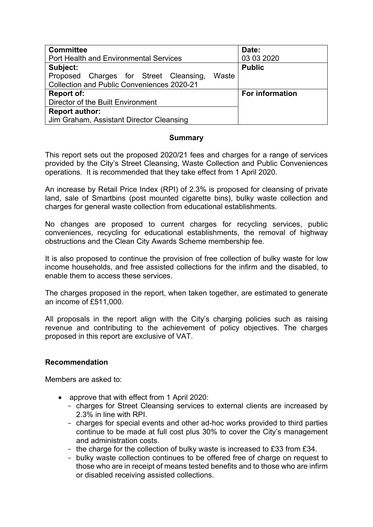| <b>Committee</b>                                | Date:                  |
|-------------------------------------------------|------------------------|
| <b>Port Health and Environmental Services</b>   | 03 03 2020             |
| Subject:                                        | <b>Public</b>          |
| Proposed Charges for Street Cleansing,<br>Waste |                        |
| Collection and Public Conveniences 2020-21      |                        |
| <b>Report of:</b>                               | <b>For information</b> |
| Director of the Built Environment               |                        |
| <b>Report author:</b>                           |                        |
| Jim Graham, Assistant Director Cleansing        |                        |

### **Summary**

This report sets out the proposed 2020/21 fees and charges for a range of services provided by the City's Street Cleansing, Waste Collection and Public Conveniences operations. It is recommended that they take effect from 1 April 2020.

An increase by Retail Price Index (RPI) of 2.3% is proposed for cleansing of private land, sale of Smartbins (post mounted cigarette bins), bulky waste collection and charges for general waste collection from educational establishments.

No changes are proposed to current charges for recycling services, public conveniences, recycling for educational establishments, the removal of highway obstructions and the Clean City Awards Scheme membership fee.

It is also proposed to continue the provision of free collection of bulky waste for low income households, and free assisted collections for the infirm and the disabled, to enable them to access these services.

The charges proposed in the report, when taken together, are estimated to generate an income of £511,000.

All proposals in the report align with the City's charging policies such as raising revenue and contributing to the achievement of policy objectives. The charges proposed in this report are exclusive of VAT.

# **Recommendation**

Members are asked to:

- approve that with effect from 1 April 2020:
	- charges for Street Cleansing services to external clients are increased by 2.3% in line with RPI.
	- charges for special events and other ad-hoc works provided to third parties continue to be made at full cost plus 30% to cover the City's management and administration costs.
	- the charge for the collection of bulky waste is increased to  $£33$  from  $£34$ .
	- bulky waste collection continues to be offered free of charge on request to those who are in receipt of means tested benefits and to those who are infirm or disabled receiving assisted collections.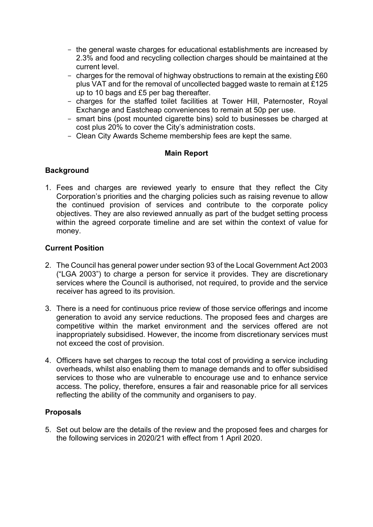- the general waste charges for educational establishments are increased by 2.3% and food and recycling collection charges should be maintained at the current level.
- charges for the removal of highway obstructions to remain at the existing £60 plus VAT and for the removal of uncollected bagged waste to remain at £125 up to 10 bags and £5 per bag thereafter.
- charges for the staffed toilet facilities at Tower Hill, Paternoster, Royal Exchange and Eastcheap conveniences to remain at 50p per use.
- smart bins (post mounted cigarette bins) sold to businesses be charged at cost plus 20% to cover the City's administration costs.
- Clean City Awards Scheme membership fees are kept the same.

### **Main Report**

### **Background**

1. Fees and charges are reviewed yearly to ensure that they reflect the City Corporation's priorities and the charging policies such as raising revenue to allow the continued provision of services and contribute to the corporate policy objectives. They are also reviewed annually as part of the budget setting process within the agreed corporate timeline and are set within the context of value for money.

### **Current Position**

- 2. The Council has general power under section 93 of the Local Government Act 2003 ("LGA 2003") to charge a person for service it provides. They are discretionary services where the Council is authorised, not required, to provide and the service receiver has agreed to its provision.
- 3. There is a need for continuous price review of those service offerings and income generation to avoid any service reductions. The proposed fees and charges are competitive within the market environment and the services offered are not inappropriately subsidised. However, the income from discretionary services must not exceed the cost of provision.
- 4. Officers have set charges to recoup the total cost of providing a service including overheads, whilst also enabling them to manage demands and to offer subsidised services to those who are vulnerable to encourage use and to enhance service access. The policy, therefore, ensures a fair and reasonable price for all services reflecting the ability of the community and organisers to pay.

# **Proposals**

5. Set out below are the details of the review and the proposed fees and charges for the following services in 2020/21 with effect from 1 April 2020.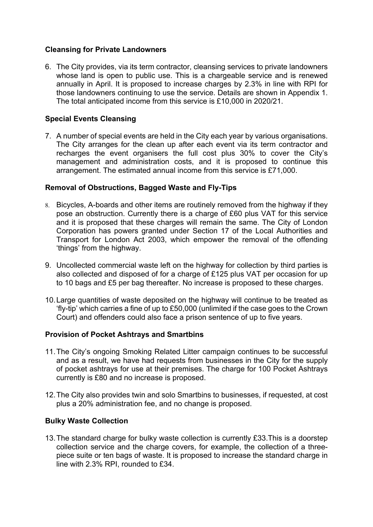### **Cleansing for Private Landowners**

6. The City provides, via its term contractor, cleansing services to private landowners whose land is open to public use. This is a chargeable service and is renewed annually in April. It is proposed to increase charges by 2.3% in line with RPI for those landowners continuing to use the service. Details are shown in Appendix 1. The total anticipated income from this service is £10,000 in 2020/21.

# **Special Events Cleansing**

7. A number of special events are held in the City each year by various organisations. The City arranges for the clean up after each event via its term contractor and recharges the event organisers the full cost plus 30% to cover the City's management and administration costs, and it is proposed to continue this arrangement. The estimated annual income from this service is £71,000.

# **Removal of Obstructions, Bagged Waste and Fly-Tips**

- 8. Bicycles, A-boards and other items are routinely removed from the highway if they pose an obstruction. Currently there is a charge of £60 plus VAT for this service and it is proposed that these charges will remain the same. The City of London Corporation has powers granted under Section 17 of the Local Authorities and Transport for London Act 2003, which empower the removal of the offending 'things' from the highway.
- 9. Uncollected commercial waste left on the highway for collection by third parties is also collected and disposed of for a charge of £125 plus VAT per occasion for up to 10 bags and £5 per bag thereafter. No increase is proposed to these charges.
- 10.Large quantities of waste deposited on the highway will continue to be treated as 'fly-tip' which carries a fine of up to £50,000 (unlimited if the case goes to the Crown Court) and offenders could also face a prison sentence of up to five years.

# **Provision of Pocket Ashtrays and Smartbins**

- 11.The City's ongoing Smoking Related Litter campaign continues to be successful and as a result, we have had requests from businesses in the City for the supply of pocket ashtrays for use at their premises. The charge for 100 Pocket Ashtrays currently is £80 and no increase is proposed.
- 12.The City also provides twin and solo Smartbins to businesses, if requested, at cost plus a 20% administration fee, and no change is proposed.

# **Bulky Waste Collection**

13.The standard charge for bulky waste collection is currently £33.This is a doorstep collection service and the charge covers, for example, the collection of a threepiece suite or ten bags of waste. It is proposed to increase the standard charge in line with 2.3% RPI, rounded to £34.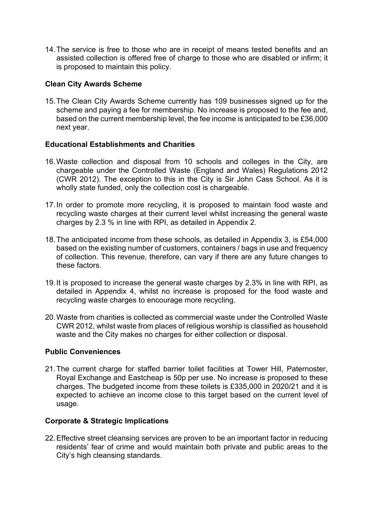14.The service is free to those who are in receipt of means tested benefits and an assisted collection is offered free of charge to those who are disabled or infirm; it is proposed to maintain this policy.

### **Clean City Awards Scheme**

15.The Clean City Awards Scheme currently has 109 businesses signed up for the scheme and paying a fee for membership. No increase is proposed to the fee and, based on the current membership level, the fee income is anticipated to be £36,000 next year.

### **Educational Establishments and Charities**

- 16.Waste collection and disposal from 10 schools and colleges in the City, are chargeable under the Controlled Waste (England and Wales) Regulations 2012 (CWR 2012). The exception to this in the City is Sir John Cass School. As it is wholly state funded, only the collection cost is chargeable.
- 17.In order to promote more recycling, it is proposed to maintain food waste and recycling waste charges at their current level whilst increasing the general waste charges by 2.3 % in line with RPI, as detailed in Appendix 2.
- 18.The anticipated income from these schools, as detailed in Appendix 3, is £54,000 based on the existing number of customers, containers / bags in use and frequency of collection. This revenue, therefore, can vary if there are any future changes to these factors.
- 19.It is proposed to increase the general waste charges by 2.3% in line with RPI, as detailed in Appendix 4, whilst no increase is proposed for the food waste and recycling waste charges to encourage more recycling.
- 20.Waste from charities is collected as commercial waste under the Controlled Waste CWR 2012, whilst waste from places of religious worship is classified as household waste and the City makes no charges for either collection or disposal.

### **Public Conveniences**

21.The current charge for staffed barrier toilet facilities at Tower Hill, Paternoster, Royal Exchange and Eastcheap is 50p per use. No increase is proposed to these charges. The budgeted income from these toilets is £335,000 in 2020/21 and it is expected to achieve an income close to this target based on the current level of usage.

### **Corporate & Strategic Implications**

22.Effective street cleansing services are proven to be an important factor in reducing residents' fear of crime and would maintain both private and public areas to the City's high cleansing standards.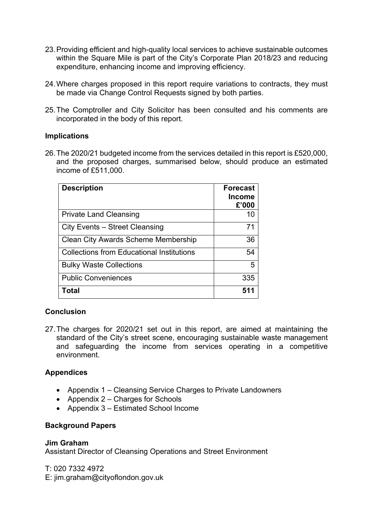- 23.Providing efficient and high-quality local services to achieve sustainable outcomes within the Square Mile is part of the City's Corporate Plan 2018/23 and reducing expenditure, enhancing income and improving efficiency.
- 24.Where charges proposed in this report require variations to contracts, they must be made via Change Control Requests signed by both parties.
- 25.The Comptroller and City Solicitor has been consulted and his comments are incorporated in the body of this report.

### **Implications**

26.The 2020/21 budgeted income from the services detailed in this report is £520,000, and the proposed charges, summarised below, should produce an estimated income of £511,000.

| <b>Description</b>                               | <b>Forecast</b><br><b>Income</b><br>£'000 |
|--------------------------------------------------|-------------------------------------------|
| <b>Private Land Cleansing</b>                    | 10                                        |
| City Events – Street Cleansing                   | 71                                        |
| <b>Clean City Awards Scheme Membership</b>       | 36                                        |
| <b>Collections from Educational Institutions</b> | 54                                        |
| <b>Bulky Waste Collections</b>                   | 5                                         |
| <b>Public Conveniences</b>                       | 335                                       |
| Total                                            | 511                                       |

### **Conclusion**

27.The charges for 2020/21 set out in this report, are aimed at maintaining the standard of the City's street scene, encouraging sustainable waste management and safeguarding the income from services operating in a competitive environment.

# **Appendices**

- Appendix 1 Cleansing Service Charges to Private Landowners
- Appendix  $2$  Charges for Schools
- Appendix 3 Estimated School Income

### **Background Papers**

### **Jim Graham**

Assistant Director of Cleansing Operations and Street Environment

T: 020 7332 4972 E: jim.graham@cityoflondon.gov.uk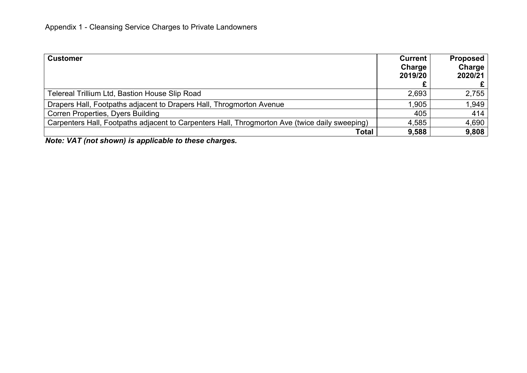| <b>Customer</b>                                                                                | <b>Current</b><br>Charge<br>2019/20 | <b>Proposed</b><br>Charge<br>2020/21 |
|------------------------------------------------------------------------------------------------|-------------------------------------|--------------------------------------|
|                                                                                                |                                     |                                      |
| <b>Telereal Trillium Ltd, Bastion House Slip Road</b>                                          | 2,693                               | 2,755                                |
| Drapers Hall, Footpaths adjacent to Drapers Hall, Throgmorton Avenue                           | 1,905                               | 1,949                                |
| <b>Corren Properties, Dyers Building</b>                                                       | 405                                 | 414                                  |
| Carpenters Hall, Footpaths adjacent to Carpenters Hall, Throgmorton Ave (twice daily sweeping) | 4,585                               | 4,690                                |
| Total                                                                                          | 9,588                               | 9,808                                |

*Note: VAT (not shown) is applicable to these charges.*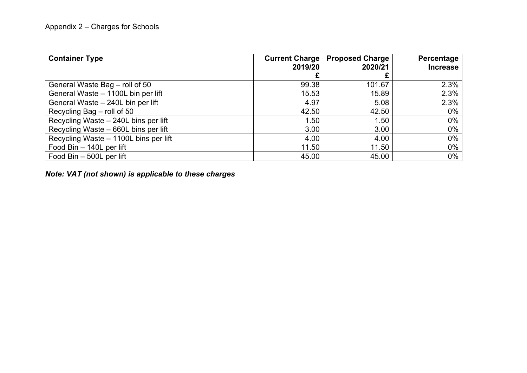| <b>Container Type</b>                 | <b>Current Charge</b> | <b>Proposed Charge</b> | Percentage      |
|---------------------------------------|-----------------------|------------------------|-----------------|
|                                       | 2019/20               | 2020/21                | <b>Increase</b> |
|                                       |                       |                        |                 |
| General Waste Bag - roll of 50        | 99.38                 | 101.67                 | 2.3%            |
| General Waste - 1100L bin per lift    | 15.53                 | 15.89                  | 2.3%            |
| General Waste - 240L bin per lift     | 4.97                  | 5.08                   | 2.3%            |
| Recycling Bag – roll of 50            | 42.50                 | 42.50                  | $0\%$           |
| Recycling Waste - 240L bins per lift  | 1.50                  | 1.50                   | $0\%$           |
| Recycling Waste - 660L bins per lift  | 3.00                  | 3.00                   | $0\%$           |
| Recycling Waste - 1100L bins per lift | 4.00                  | 4.00                   | $0\%$           |
| Food Bin - 140L per lift              | 11.50                 | 11.50                  | $0\%$           |
| Food Bin - 500L per lift              | 45.00                 | 45.00                  | 0%              |

*Note: VAT (not shown) is applicable to these charges*